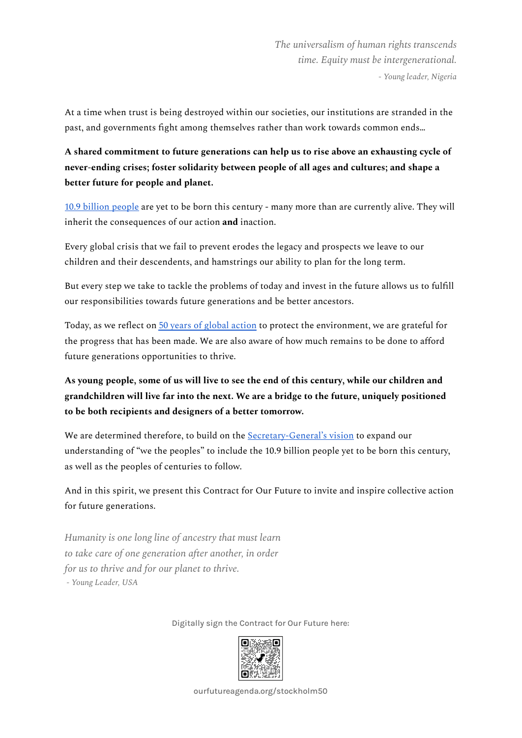*The universalism of human rights transcends time. Equity must be intergenerational. - Young leader, Nigeria*

At a time when trust is being destroyed within our societies, our institutions are stranded in the past, and governments fight among themselves rather than work towards common ends…

**A shared commitment to future generations can help us to rise above an exhausting cycle of never-ending crises; foster solidarity between people of all ages and cultures; and shape a better future for people and planet.**

10.9 billion [people](https://s3.amazonaws.com/media.unfoundation.org/2021/11/Future-Thinking-and-Future-Generations-12Nov211.pdf) are yet to be born this century - many more than are currently alive. They will inherit the consequences of our action **and** inaction.

Every global crisis that we fail to prevent erodes the legacy and prospects we leave to our children and their descendents, and hamstrings our ability to plan for the long term.

But every step we take to tackle the problems of today and invest in the future allows us to fulfill our responsibilities towards future generations and be better ancestors.

Today, as we reflect on 50 years of global [action](https://www.un.org/en/conferences/environment/stockholm1972) to protect the environment, we are grateful for the progress that has been made. We are also aware of how much remains to be done to afford future generations opportunities to thrive.

As young people, some of us will live to see the end of this century, while our children and **grandchildren will live far into the next. We are a bridge to the future, uniquely positioned to be both recipients and designers of a better tomorrow.**

We are determined therefore, to build on the [Secretary-General's](https://www.un.org/en/content/common-agenda-report/) vision to expand our understanding of "we the peoples" to include the 10.9 billion people yet to be born this century, as well as the peoples of centuries to follow.

And in this spirit, we present this Contract for Our Future to invite and inspire collective action for future generations.

*Humanity is one long line of ancestry that must learn to take care of one generation after another, in order for us to thrive and for our planet to thrive. - Young Leader, USA*

Digitally sign the Contract for Our Future here:



ourfutureagenda.org/stockholm50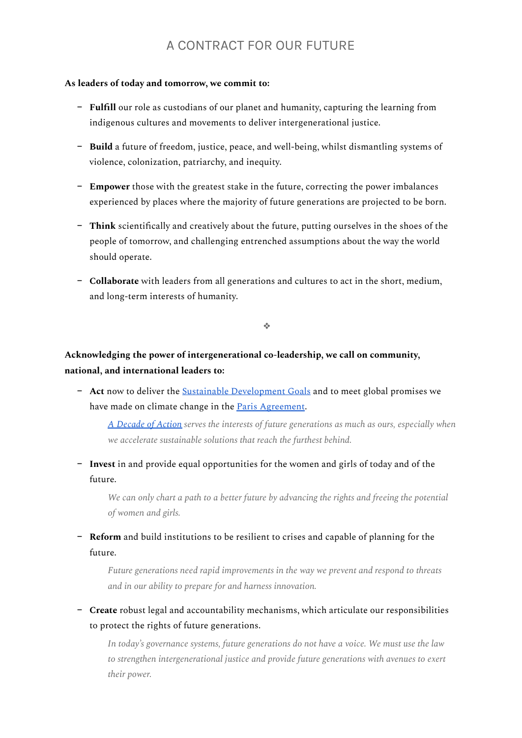## A CONTRACT FOR OUR FUTURE

## **As leaders of today and tomorrow, we commit to:**

- − **Fulfill** our role as custodians of our planet and humanity, capturing the learning from indigenous cultures and movements to deliver intergenerational justice.
- − **Build** a future of freedom, justice, peace, and well-being, whilst dismantling systems of violence, colonization, patriarchy, and inequity.
- − **Empower** those with the greatest stake in the future, correcting the power imbalances experienced by places where the majority of future generations are projected to be born.
- − **Think** scientifically and creatively about the future, putting ourselves in the shoes of the people of tomorrow, and challenging entrenched assumptions about the way the world should operate.
- − **Collaborate** with leaders from all generations and cultures to act in the short, medium, and long-term interests of humanity.

❖

## **Acknowledging the power of intergenerational co-leadership, we call on community, national, and international leaders to:**

− **Act** now to deliver the Sustainable [Development](https://sdgs.un.org/goals) Goals and to meet global promises we have made on climate change in the Paris [Agreement](https://unfccc.int/process-and-meetings/the-paris-agreement/the-paris-agreement).

*A [Decade](https://www.un.org/sustainabledevelopment/decade-of-action/) of Action serves the interests of future generations as much as ours, especially when we accelerate sustainable solutions that reach the furthest behind.*

− **Invest** in and provide equal opportunities for the women and girls of today and of the future.

*We can only chart a path to a better future by advancing the rights and freeing the potential of women and girls.*

− **Reform** and build institutions to be resilient to crises and capable of planning for the future.

*Future generations need rapid improvements in the way we prevent and respond to threats and in our ability to prepare for and harness innovation.*

− **Create** robust legal and accountability mechanisms, which articulate our responsibilities to protect the rights of future generations.

*In today's governance systems, future generations do not have a voice. We must use the law to strengthen intergenerational justice and provide future generations with avenues to exert their power.*